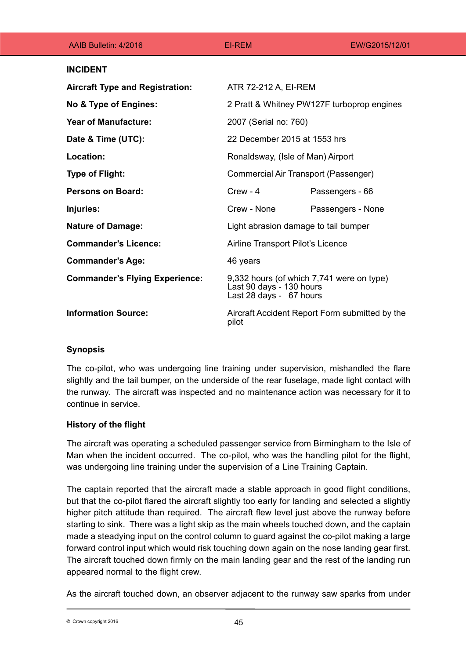| AAIB Bulletin: 4/2016                  | <b>EI-REM</b>                                                                                    | EW/G2015/12/01    |
|----------------------------------------|--------------------------------------------------------------------------------------------------|-------------------|
| <b>INCIDENT</b>                        |                                                                                                  |                   |
| <b>Aircraft Type and Registration:</b> | ATR 72-212 A, EI-REM                                                                             |                   |
| No & Type of Engines:                  | 2 Pratt & Whitney PW127F turboprop engines                                                       |                   |
| <b>Year of Manufacture:</b>            | 2007 (Serial no: 760)                                                                            |                   |
| Date & Time (UTC):                     | 22 December 2015 at 1553 hrs                                                                     |                   |
| Location:                              | Ronaldsway, (Isle of Man) Airport                                                                |                   |
| <b>Type of Flight:</b>                 | Commercial Air Transport (Passenger)                                                             |                   |
| <b>Persons on Board:</b>               | $C$ rew - 4                                                                                      | Passengers - 66   |
| Injuries:                              | Crew - None                                                                                      | Passengers - None |
| <b>Nature of Damage:</b>               | Light abrasion damage to tail bumper                                                             |                   |
| <b>Commander's Licence:</b>            | Airline Transport Pilot's Licence                                                                |                   |
| <b>Commander's Age:</b>                | 46 years                                                                                         |                   |
| <b>Commander's Flying Experience:</b>  | 9,332 hours (of which 7,741 were on type)<br>Last 90 days - 130 hours<br>Last 28 days - 67 hours |                   |
| <b>Information Source:</b>             | Aircraft Accident Report Form submitted by the<br>pilot                                          |                   |

## **Synopsis**

The co-pilot, who was undergoing line training under supervision, mishandled the flare slightly and the tail bumper, on the underside of the rear fuselage, made light contact with the runway. The aircraft was inspected and no maintenance action was necessary for it to continue in service.

## **History of the flight**

The aircraft was operating a scheduled passenger service from Birmingham to the Isle of Man when the incident occurred. The co-pilot, who was the handling pilot for the flight, was undergoing line training under the supervision of a Line Training Captain.

The captain reported that the aircraft made a stable approach in good flight conditions, but that the co-pilot flared the aircraft slightly too early for landing and selected a slightly higher pitch attitude than required. The aircraft flew level just above the runway before starting to sink. There was a light skip as the main wheels touched down, and the captain made a steadying input on the control column to guard against the co-pilot making a large forward control input which would risk touching down again on the nose landing gear first. The aircraft touched down firmly on the main landing gear and the rest of the landing run appeared normal to the flight crew.

As the aircraft touched down, an observer adjacent to the runway saw sparks from under